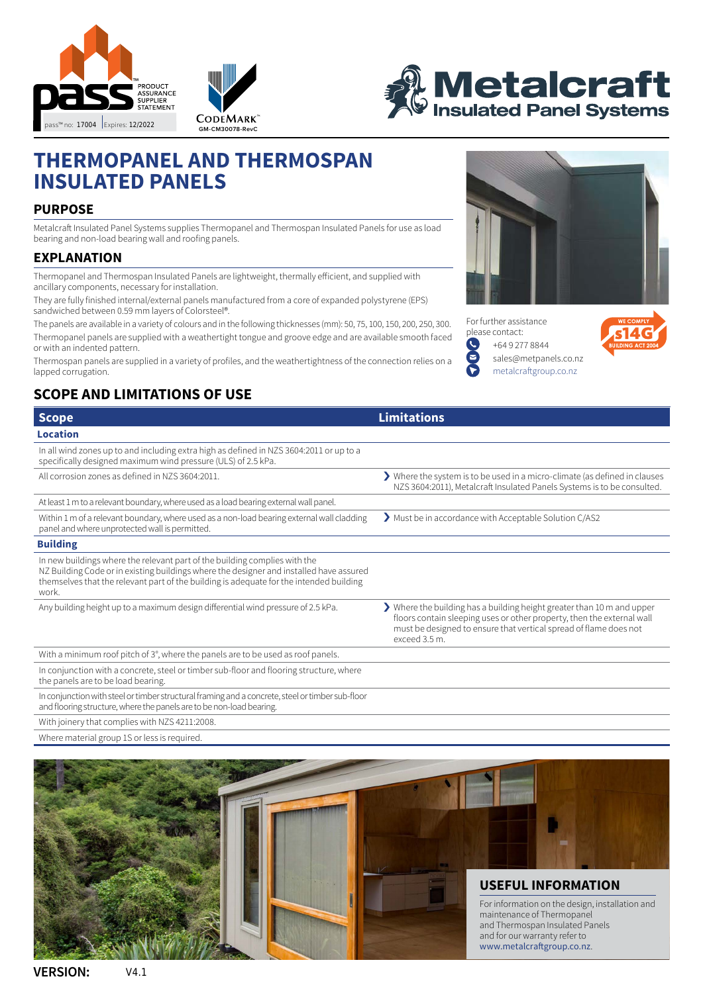





# **THERMOPANEL AND THERMOSPAN INSULATED PANELS**

# **PURPOSE**

Metalcraft Insulated Panel Systems supplies Thermopanel and Thermospan Insulated Panels for use as load bearing and non-load bearing wall and roofing panels.

# **EXPLANATION**

Thermopanel and Thermospan Insulated Panels are lightweight, thermally efficient, and supplied with ancillary components, necessary for installation.

They are fully finished internal/external panels manufactured from a core of expanded polystyrene (EPS) sandwiched between 0.59 mm layers of Colorsteel®.

The panels are available in a variety of colours and in the following thicknesses (mm): 50, 75, 100, 150, 200, 250, 300. Thermopanel panels are supplied with a weathertight tongue and groove edge and are available smooth faced or with an indented pattern.

Thermospan panels are supplied in a variety of profiles, and the weathertightness of the connection relies on a lapped corrugation.

# **SCOPE AND LIMITATIONS OF USE**



For further assistance please contact: O [+64 9 277 8844](tel:+64 9 277 8844) Ř [sales@metpanels.co.nz](mailto:sales%40metpanels.co.nz?subject=Metalcraft%20Insulated%20Panel%20System%20informaton%20request)



[metalcraftgroup.co.nz](http://metalcraftgroup.co.nz)

| <b>Scope</b>                                                                                                                                                                                                                                                              | <b>Limitations</b>                                                                                                                                                                                                                     |
|---------------------------------------------------------------------------------------------------------------------------------------------------------------------------------------------------------------------------------------------------------------------------|----------------------------------------------------------------------------------------------------------------------------------------------------------------------------------------------------------------------------------------|
| <b>Location</b>                                                                                                                                                                                                                                                           |                                                                                                                                                                                                                                        |
| In all wind zones up to and including extra high as defined in NZS 3604:2011 or up to a<br>specifically designed maximum wind pressure (ULS) of 2.5 kPa.                                                                                                                  |                                                                                                                                                                                                                                        |
| All corrosion zones as defined in NZS 3604:2011.                                                                                                                                                                                                                          | Where the system is to be used in a micro-climate (as defined in clauses<br>NZS 3604:2011), Metalcraft Insulated Panels Systems is to be consulted.                                                                                    |
| At least 1 m to a relevant boundary, where used as a load bearing external wall panel.                                                                                                                                                                                    |                                                                                                                                                                                                                                        |
| Within 1 m of a relevant boundary, where used as a non-load bearing external wall cladding<br>panel and where unprotected wall is permitted.                                                                                                                              | > Must be in accordance with Acceptable Solution C/AS2                                                                                                                                                                                 |
| <b>Building</b>                                                                                                                                                                                                                                                           |                                                                                                                                                                                                                                        |
| In new buildings where the relevant part of the building complies with the<br>NZ Building Code or in existing buildings where the designer and installed have assured<br>themselves that the relevant part of the building is adequate for the intended building<br>work. |                                                                                                                                                                                                                                        |
| Any building height up to a maximum design differential wind pressure of 2.5 kPa.                                                                                                                                                                                         | > Where the building has a building height greater than 10 m and upper<br>floors contain sleeping uses or other property, then the external wall<br>must be designed to ensure that vertical spread of flame does not<br>exceed 3.5 m. |
| With a minimum roof pitch of 3°, where the panels are to be used as roof panels.                                                                                                                                                                                          |                                                                                                                                                                                                                                        |
| In conjunction with a concrete, steel or timber sub-floor and flooring structure, where<br>the panels are to be load bearing.                                                                                                                                             |                                                                                                                                                                                                                                        |
| In conjunction with steel or timber structural framing and a concrete, steel or timber sub-floor<br>and flooring structure, where the panels are to be non-load bearing.                                                                                                  |                                                                                                                                                                                                                                        |
| With joinery that complies with NZS 4211:2008.                                                                                                                                                                                                                            |                                                                                                                                                                                                                                        |
| Where material group 1S or less is required.                                                                                                                                                                                                                              |                                                                                                                                                                                                                                        |